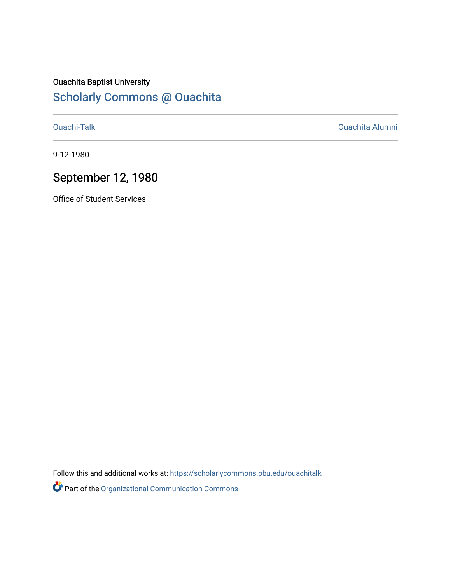## Ouachita Baptist University

## [Scholarly Commons @ Ouachita](https://scholarlycommons.obu.edu/)

[Ouachi-Talk](https://scholarlycommons.obu.edu/ouachitalk) [Ouachita Alumni](https://scholarlycommons.obu.edu/obu_alum) 

9-12-1980

### September 12, 1980

Office of Student Services

Follow this and additional works at: [https://scholarlycommons.obu.edu/ouachitalk](https://scholarlycommons.obu.edu/ouachitalk?utm_source=scholarlycommons.obu.edu%2Fouachitalk%2F132&utm_medium=PDF&utm_campaign=PDFCoverPages) 

Part of the [Organizational Communication Commons](http://network.bepress.com/hgg/discipline/335?utm_source=scholarlycommons.obu.edu%2Fouachitalk%2F132&utm_medium=PDF&utm_campaign=PDFCoverPages)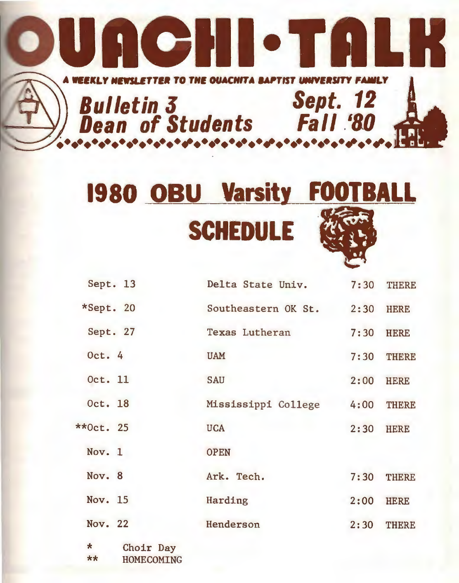

# **1980 OBU Varsity FOOTBALL SCHEDULE**  . 30

| Sept. 13                                          | Delta State Univ.   | 7:30 | <b>THERE</b> |
|---------------------------------------------------|---------------------|------|--------------|
| *Sept. 20                                         | Southeastern OK St. | 2:30 | <b>HERE</b>  |
| Sept. 27                                          | Texas Lutheran      | 7:30 | <b>HERE</b>  |
| Oct. $4$                                          | <b>UAM</b>          | 7:30 | <b>THERE</b> |
| Oct. 11                                           | <b>SAU</b>          | 2:00 | <b>HERE</b>  |
| Oct. 18                                           | Mississippi College | 4:00 | <b>THERE</b> |
| $*$ Oct. 25                                       | <b>UCA</b>          | 2:30 | <b>HERE</b>  |
| Nov. 1                                            | <b>OPEN</b>         |      |              |
| Nov. 8                                            | Ark. Tech.          | 7:30 | <b>THERE</b> |
| Nov. 15                                           | Harding             | 2:00 | <b>HERE</b>  |
| Nov. 22                                           | Henderson           | 2:30 | <b>THERE</b> |
| $\star$<br>Choir Day<br>$**$<br><b>HOMECOMING</b> |                     |      |              |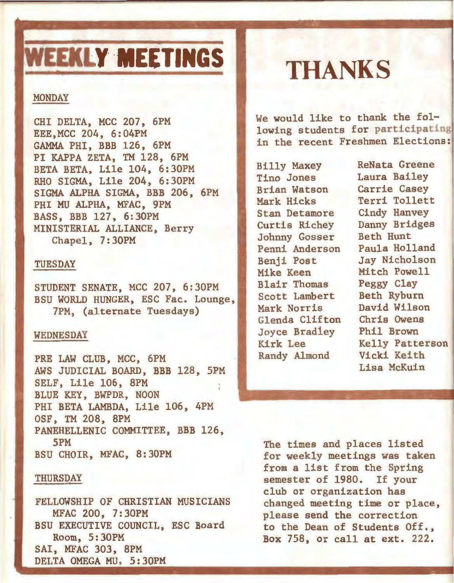# **WEEKLY MEETINGS**

#### **MONDAY**

CHI DELTA, MCC 207, 6PM EEE,MCC 204, 6:04PM GAMMA PHI, BBB 126, 6PM PI KAPPA ZETA, TM 128, 6PM BETA BETA, Lile 104, 6:30PM RHO SIGMA, Lile 204, 6:30PM SIGMA ALPHA SIGMA, BBB 206, 6PM PHI MU ALPHA, MFAC, 9PM BASS, BBB 127, 6:30PM MINISTERIAL ALLIANCE, Berry Chapel, 7:30PM

#### TUESDAY

STUDENT SENATE, MCC 207, 6:30PM BSU WORLD HUNGER, ESC Fac. Lounge, 7PM, (alternate Tuesdays)

#### WEDNESDAY

PRE LAW CLUB, MCC, 6PM AWS JUDICIAL BOARD, BBB 128, SPM SELF, Lile 106, 8PM BLUE KEY, BWPDR, NOON PHI BETA LAMBDA, Lile 106, 4PM OSF, TM 208, 8PM PANEHELLENIC COMMITTEE, BBB 126, 5PM BSU CHOIR, MFAC, 8:30PM

#### THURSDAY

'

FELLOWSHIP OF CHRISTIAN MUSICIANS MFAC 200, 7:30PM BSU EXECUTIVE COUNCIL, ESC Board Room, 5:30PM SAl, MFAC 303, 8PM DELTA OMEGA MU, 5:30PM

## **THANKS**

We would like to thank the following students for participating in the recent Freshmen Elections:

Billy Maxey<br>Tino Jones Laura Bailey **Brian Watson Carrie Casey**<br>Mark Hicks Terri Tollet Stan Detamore<br>Curtis Richey Johnny Gosser Beth Hunt Penni Anderson<br>Benji Post Benji Post Jay Nicholson<br>Mike Keen Mitch Powell **Blair Thomas** Peggy Clay<br>Scott Lambert Beth Ryburn Scott Lambert Beth Ryburn<br>Merk Norris - David Wilson Mark Norris David Wilson<br>Glenda Clifton Chris Owens Glenda Clifton Chris Owens Joyce Bradley Randy Almond

Laura Bailey Terri Tollett<br>Cindy Hanvey Danny Bridges Mitch Powell Kirk Lee Kelly Patterson Lisa McKuin

The times and places listed for weekly meetings was taken from a list from the Spring semester of 1980. If your club or organization has changed meeting time or place, please send the correction to the Dean of Students Off., Box 758, or call at ext. 222.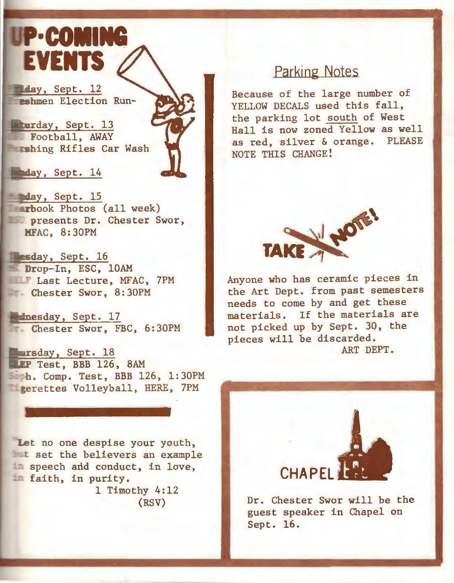## UP-COMING **EVENTS**

day, Sept. 12 eshmen Election Run-

turday, Sept. 13 Football, AWAY **Ershing Rifles Car Wash** 

day, Sept. 14

**Inday, Sept. 15 rtbook Photos (all week) presents Dr. Chester Swor,** HFAC, 8:30PM

Lesday, Sept. 16 Drop-In, ESC, 10AM **F Last Lecture, MFAC, 7PM** Chester Swor, 8:30PM

**Ednesday**, Sept. 17 Chester Swor, FBC, 6:30PM

**Tarsday, Sept. 18**<br>TIP Test, BBB 126, 8AM h. Comp. Test, BBB 126, 1:30PM **Exercttes Volleyball, HERE, 7PM** 

Let no one despise your youth, **the believers an example** In speech and conduct, in love, faith, in purity. 1 Timothy 4:12

(RSV)

### Parking Notes

Because of the large number of YELLOW DECALS used this fall, the parking lot south of West Hall is now zoned Yellow as well as red, silver & orange. NOTE THIS CHANGE!



Anyone who has ceramic pieces in the Art Dept. from past semesters needs to come by and get these materials. If the materials are not picked up by Sept. 30, the pieces will be discarded. ART DEPT.



Dr. Chester Swor will be the guest speaker in Chapel on Sept. 16.